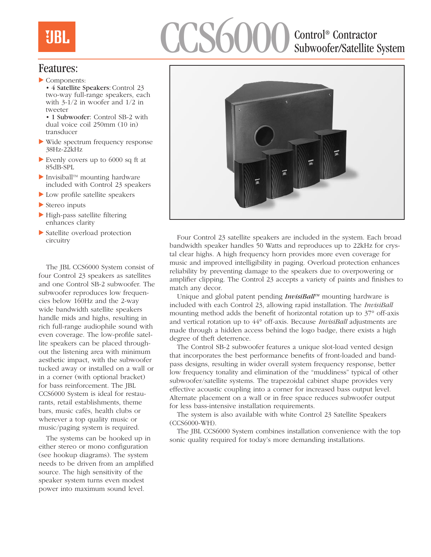# CCS6000 Control® Contractor Subwoofer/Satellite System

### Features:

 $\blacktriangleright$  Components: • 4 Satellite Speakers: Control 23 two-way full-range speakers, each with 3-1/2 in woofer and 1/2 in tweeter

• 1 Subwoofer: Control SB-2 with dual voice coil 250mm (10 in) transducer

- $\blacktriangleright$  Wide spectrum frequency response 38Hz-22kHz
- Evenly covers up to  $6000$  sq ft at 85dB-SPL
- Invisiball<sup>™</sup> mounting hardware included with Control 23 speakers
- $\blacktriangleright$  Low profile satellite speakers
- $\blacktriangleright$  Stereo inputs
- $\blacktriangleright$  High-pass satellite filtering enhances clarity
- $\blacktriangleright$  Satellite overload protection circuitry

The JBL CCS6000 System consist of four Control 23 speakers as satellites and one Control SB-2 subwoofer. The subwoofer reproduces low frequencies below 160Hz and the 2-way wide bandwidth satellite speakers handle mids and highs, resulting in rich full-range audiophile sound with even coverage. The low-profile satellite speakers can be placed throughout the listening area with minimum aesthetic impact, with the subwoofer tucked away or installed on a wall or in a corner (with optional bracket) for bass reinforcement. The JBL CCS6000 System is ideal for restaurants, retail establishments, theme bars, music cafés, health clubs or wherever a top quality music or music/paging system is required.

The systems can be hooked up in either stereo or mono configuration (see hookup diagrams). The system needs to be driven from an amplified source. The high sensitivity of the speaker system turns even modest power into maximum sound level.



Four Control 23 satellite speakers are included in the system. Each broad bandwidth speaker handles 50 Watts and reproduces up to 22kHz for crystal clear highs. A high frequency horn provides more even coverage for music and improved intelligibility in paging. Overload protection enhances reliability by preventing damage to the speakers due to overpowering or amplifier clipping. The Control 23 accepts a variety of paints and finishes to match any decor.

Unique and global patent pending *InvisiBall<sup>TM</sup>* mounting hardware is included with each Control 23, allowing rapid installation. The *InvisiBall* mounting method adds the benefit of horizontal rotation up to 37° off-axis and vertical rotation up to 44° off-axis. Because *InvisiBall* adjustments are made through a hidden access behind the logo badge, there exists a high degree of theft deterrence.

The Control SB-2 subwoofer features a unique slot-load vented design that incorporates the best performance benefits of front-loaded and bandpass designs, resulting in wider overall system frequency response, better low frequency tonality and elimination of the "muddiness" typical of other subwoofer/satellite systems. The trapezoidal cabinet shape provides very effective acoustic coupling into a corner for increased bass output level. Alternate placement on a wall or in free space reduces subwoofer output for less bass-intensive installation requirements.

The system is also available with white Control 23 Satellite Speakers (CCS6000-WH).

The JBL CCS6000 System combines installation convenience with the top sonic quality required for today's more demanding installations.